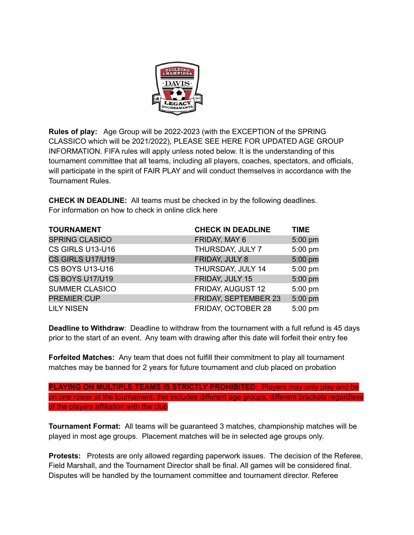

**Rules of play:** Age Group will be 2022-2023 (with the EXCEPTION of the SPRING CLASSICO which will be 2021/2022), PLEASE SEE HERE FOR UPDATED AGE GROUP INFORMATION. FIFA rules will apply unless noted below. It is the understanding of this tournament committee that all teams, including all players, coaches, spectators, and officials, will participate in the spirit of FAIR PLAY and will conduct themselves in accordance with the Tournament Rules.

**CHECK IN DEADLINE:** All teams must be checked in by the following deadlines. For information on how to check in online click here

| <b>TOURNAMENT</b>      | <b>CHECK IN DEADLINE</b>    | <b>TIME</b> |
|------------------------|-----------------------------|-------------|
| <b>SPRING CLASICO</b>  | FRIDAY, MAY 6               | 5:00 pm     |
| CS GIRLS U13-U16       | THURSDAY, JULY 7            | 5:00 pm     |
| CS GIRLS U17/U19       | FRIDAY, JULY 8              | 5:00 pm     |
| <b>CS BOYS U13-U16</b> | THURSDAY, JULY 14           | 5:00 pm     |
| CS BOYS U17/U19        | FRIDAY, JULY 15             | 5:00 pm     |
| <b>SUMMER CLASICO</b>  | FRIDAY, AUGUST 12           | 5:00 pm     |
| <b>PREMIER CUP</b>     | <b>FRIDAY, SEPTEMBER 23</b> | 5:00 pm     |
| <b>LILY NISEN</b>      | FRIDAY, OCTOBER 28          | 5:00 pm     |

**Deadline to Withdraw**: Deadline to withdraw from the tournament with a full refund is 45 days prior to the start of an event. Any team with drawing after this date will forfeit their entry fee

**Forfeited Matches:** Any team that does not fulfill their commitment to play all tournament matches may be banned for 2 years for future tournament and club placed on probation

**PLAYING ON MULTIPLE TEAMS IS STRICTLY PROHIBITED**: Players may only play and be on one roster at the tournament, this includes different age groups, different brackets regardless of the players affiliation with the club

**Tournament Format:** All teams will be guaranteed 3 matches, championship matches will be played in most age groups. Placement matches will be in selected age groups only.

**Protests:** Protests are only allowed regarding paperwork issues. The decision of the Referee, Field Marshall, and the Tournament Director shall be final. All games will be considered final. Disputes will be handled by the tournament committee and tournament director. Referee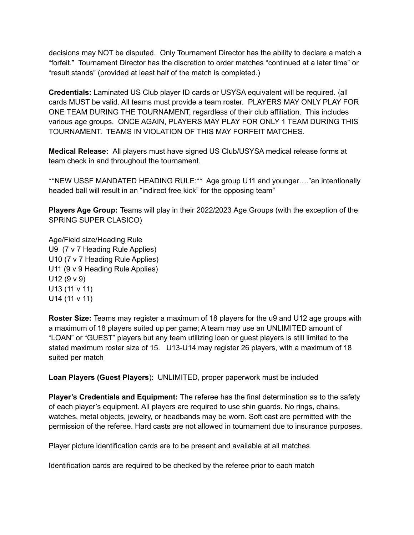decisions may NOT be disputed. Only Tournament Director has the ability to declare a match a "forfeit." Tournament Director has the discretion to order matches "continued at a later time" or "result stands" (provided at least half of the match is completed.)

**Credentials:** Laminated US Club player ID cards or USYSA equivalent will be required. {all cards MUST be valid. All teams must provide a team roster. PLAYERS MAY ONLY PLAY FOR ONE TEAM DURING THE TOURNAMENT, regardless of their club affiliation. This includes various age groups. ONCE AGAIN, PLAYERS MAY PLAY FOR ONLY 1 TEAM DURING THIS TOURNAMENT. TEAMS IN VIOLATION OF THIS MAY FORFEIT MATCHES.

**Medical Release:** All players must have signed US Club/USYSA medical release forms at team check in and throughout the tournament.

\*\*NEW USSF MANDATED HEADING RULE:\*\* Age group U11 and younger…."an intentionally headed ball will result in an "indirect free kick" for the opposing team"

**Players Age Group:** Teams will play in their 2022/2023 Age Groups (with the exception of the SPRING SUPER CLASICO)

Age/Field size/Heading Rule U9 (7 v 7 Heading Rule Applies) U10 (7 v 7 Heading Rule Applies) U11 (9 v 9 Heading Rule Applies) U12 (9 v 9) U13 (11 v 11) U14 (11 v 11)

**Roster Size:** Teams may register a maximum of 18 players for the u9 and U12 age groups with a maximum of 18 players suited up per game; A team may use an UNLIMITED amount of "LOAN" or "GUEST" players but any team utilizing loan or guest players is still limited to the stated maximum roster size of 15. U13-U14 may register 26 players, with a maximum of 18 suited per match

**Loan Players (Guest Players**): UNLIMITED, proper paperwork must be included

**Player's Credentials and Equipment:** The referee has the final determination as to the safety of each player's equipment. All players are required to use shin guards. No rings, chains, watches, metal objects, jewelry, or headbands may be worn. Soft cast are permitted with the permission of the referee. Hard casts are not allowed in tournament due to insurance purposes.

Player picture identification cards are to be present and available at all matches.

Identification cards are required to be checked by the referee prior to each match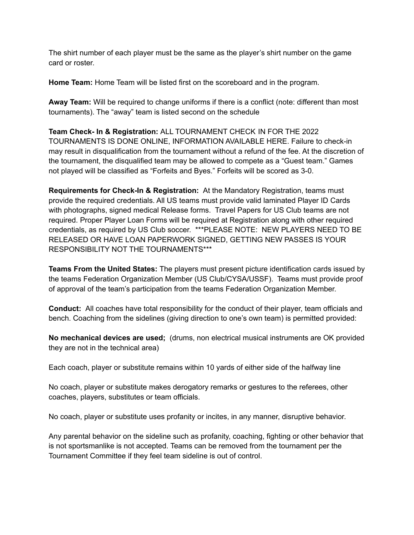The shirt number of each player must be the same as the player's shirt number on the game card or roster.

**Home Team:** Home Team will be listed first on the scoreboard and in the program.

**Away Team:** Will be required to change uniforms if there is a conflict (note: different than most tournaments). The "away" team is listed second on the schedule

**Team Check- In & Registration:** ALL TOURNAMENT CHECK IN FOR THE 2022 TOURNAMENTS IS DONE ONLINE, INFORMATION AVAILABLE HERE. Failure to check-in may result in disqualification from the tournament without a refund of the fee. At the discretion of the tournament, the disqualified team may be allowed to compete as a "Guest team." Games not played will be classified as "Forfeits and Byes." Forfeits will be scored as 3-0.

**Requirements for Check-In & Registration:** At the Mandatory Registration, teams must provide the required credentials. All US teams must provide valid laminated Player ID Cards with photographs, signed medical Release forms. Travel Papers for US Club teams are not required. Proper Player Loan Forms will be required at Registration along with other required credentials, as required by US Club soccer. \*\*\*PLEASE NOTE: NEW PLAYERS NEED TO BE RELEASED OR HAVE LOAN PAPERWORK SIGNED, GETTING NEW PASSES IS YOUR RESPONSIBILITY NOT THE TOURNAMENTS\*\*\*

**Teams From the United States:** The players must present picture identification cards issued by the teams Federation Organization Member (US Club/CYSA/USSF). Teams must provide proof of approval of the team's participation from the teams Federation Organization Member.

**Conduct:** All coaches have total responsibility for the conduct of their player, team officials and bench. Coaching from the sidelines (giving direction to one's own team) is permitted provided:

**No mechanical devices are used;** (drums, non electrical musical instruments are OK provided they are not in the technical area)

Each coach, player or substitute remains within 10 yards of either side of the halfway line

No coach, player or substitute makes derogatory remarks or gestures to the referees, other coaches, players, substitutes or team officials.

No coach, player or substitute uses profanity or incites, in any manner, disruptive behavior.

Any parental behavior on the sideline such as profanity, coaching, fighting or other behavior that is not sportsmanlike is not accepted. Teams can be removed from the tournament per the Tournament Committee if they feel team sideline is out of control.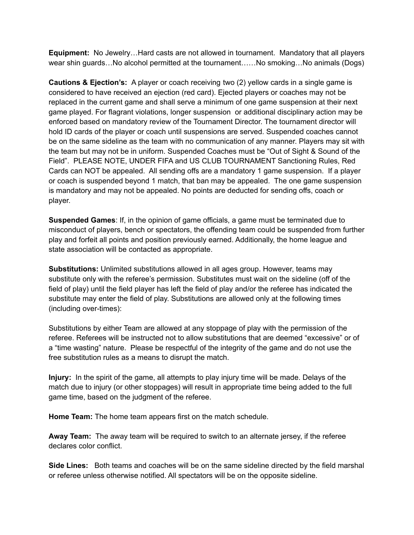**Equipment:** No Jewelry…Hard casts are not allowed in tournament. Mandatory that all players wear shin guards…No alcohol permitted at the tournament……No smoking…No animals (Dogs)

**Cautions & Ejection's:** A player or coach receiving two (2) yellow cards in a single game is considered to have received an ejection (red card). Ejected players or coaches may not be replaced in the current game and shall serve a minimum of one game suspension at their next game played. For flagrant violations, longer suspension or additional disciplinary action may be enforced based on mandatory review of the Tournament Director. The tournament director will hold ID cards of the player or coach until suspensions are served. Suspended coaches cannot be on the same sideline as the team with no communication of any manner. Players may sit with the team but may not be in uniform. Suspended Coaches must be "Out of Sight & Sound of the Field". PLEASE NOTE, UNDER FIFA and US CLUB TOURNAMENT Sanctioning Rules, Red Cards can NOT be appealed. All sending offs are a mandatory 1 game suspension. If a player or coach is suspended beyond 1 match, that ban may be appealed. The one game suspension is mandatory and may not be appealed. No points are deducted for sending offs, coach or player.

**Suspended Games**: If, in the opinion of game officials, a game must be terminated due to misconduct of players, bench or spectators, the offending team could be suspended from further play and forfeit all points and position previously earned. Additionally, the home league and state association will be contacted as appropriate.

**Substitutions:** Unlimited substitutions allowed in all ages group. However, teams may substitute only with the referee's permission. Substitutes must wait on the sideline (off of the field of play) until the field player has left the field of play and/or the referee has indicated the substitute may enter the field of play. Substitutions are allowed only at the following times (including over-times):

Substitutions by either Team are allowed at any stoppage of play with the permission of the referee. Referees will be instructed not to allow substitutions that are deemed "excessive" or of a "time wasting" nature. Please be respectful of the integrity of the game and do not use the free substitution rules as a means to disrupt the match.

**Injury:** In the spirit of the game, all attempts to play injury time will be made. Delays of the match due to injury (or other stoppages) will result in appropriate time being added to the full game time, based on the judgment of the referee.

**Home Team:** The home team appears first on the match schedule.

**Away Team:** The away team will be required to switch to an alternate jersey, if the referee declares color conflict.

**Side Lines:** Both teams and coaches will be on the same sideline directed by the field marshal or referee unless otherwise notified. All spectators will be on the opposite sideline.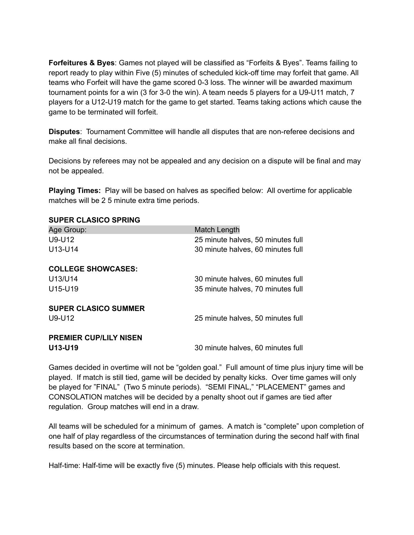**Forfeitures & Byes**: Games not played will be classified as "Forfeits & Byes". Teams failing to report ready to play within Five (5) minutes of scheduled kick-off time may forfeit that game. All teams who Forfeit will have the game scored 0-3 loss. The winner will be awarded maximum tournament points for a win (3 for 3-0 the win). A team needs 5 players for a U9-U11 match, 7 players for a U12-U19 match for the game to get started. Teams taking actions which cause the game to be terminated will forfeit.

**Disputes**: Tournament Committee will handle all disputes that are non-referee decisions and make all final decisions.

Decisions by referees may not be appealed and any decision on a dispute will be final and may not be appealed.

**Playing Times:** Play will be based on halves as specified below: All overtime for applicable matches will be 2 5 minute extra time periods.

## **SUPER CLASICO SPRING**

| Age Group:<br>$U9-U12$<br>U13-U14               | Match Length<br>25 minute halves, 50 minutes full<br>30 minute halves, 60 minutes full |
|-------------------------------------------------|----------------------------------------------------------------------------------------|
| <b>COLLEGE SHOWCASES:</b><br>U13/U14<br>U15-U19 | 30 minute halves, 60 minutes full<br>35 minute halves, 70 minutes full                 |
| <b>SUPER CLASICO SUMMER</b><br>$U9-U12$         | 25 minute halves, 50 minutes full                                                      |
| <b>PREMIER CUP/LILY NISEN</b><br>U13-U19        | 30 minute halves, 60 minutes full                                                      |

Games decided in overtime will not be "golden goal." Full amount of time plus injury time will be played. If match is still tied, game will be decided by penalty kicks. Over time games will only be played for "FINAL" (Two 5 minute periods). "SEMI FINAL," "PLACEMENT" games and CONSOLATION matches will be decided by a penalty shoot out if games are tied after regulation. Group matches will end in a draw.

All teams will be scheduled for a minimum of games. A match is "complete" upon completion of one half of play regardless of the circumstances of termination during the second half with final results based on the score at termination.

Half-time: Half-time will be exactly five (5) minutes. Please help officials with this request.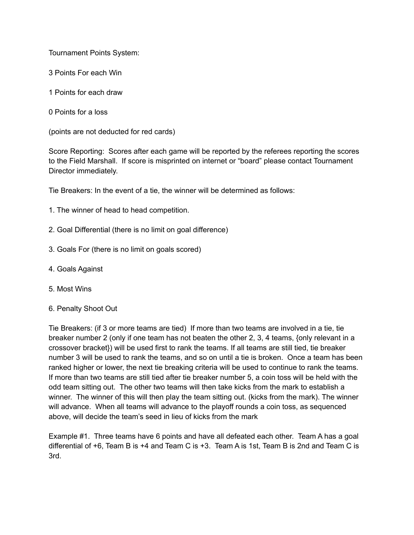Tournament Points System:

- 3 Points For each Win
- 1 Points for each draw
- 0 Points for a loss

(points are not deducted for red cards)

Score Reporting: Scores after each game will be reported by the referees reporting the scores to the Field Marshall. If score is misprinted on internet or "board" please contact Tournament Director immediately.

Tie Breakers: In the event of a tie, the winner will be determined as follows:

- 1. The winner of head to head competition.
- 2. Goal Differential (there is no limit on goal difference)
- 3. Goals For (there is no limit on goals scored)
- 4. Goals Against
- 5. Most Wins
- 6. Penalty Shoot Out

Tie Breakers: (if 3 or more teams are tied) If more than two teams are involved in a tie, tie breaker number 2 (only if one team has not beaten the other 2, 3, 4 teams, {only relevant in a crossover bracket}) will be used first to rank the teams. If all teams are still tied, tie breaker number 3 will be used to rank the teams, and so on until a tie is broken. Once a team has been ranked higher or lower, the next tie breaking criteria will be used to continue to rank the teams. If more than two teams are still tied after tie breaker number 5, a coin toss will be held with the odd team sitting out. The other two teams will then take kicks from the mark to establish a winner. The winner of this will then play the team sitting out. (kicks from the mark). The winner will advance. When all teams will advance to the playoff rounds a coin toss, as sequenced above, will decide the team's seed in lieu of kicks from the mark

Example #1. Three teams have 6 points and have all defeated each other. Team A has a goal differential of +6, Team B is +4 and Team C is +3. Team A is 1st, Team B is 2nd and Team C is 3rd.